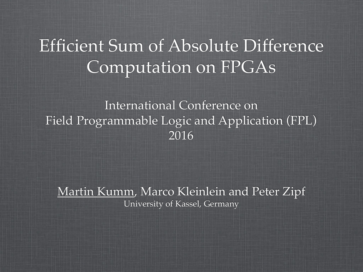### Efficient Sum of Absolute Difference Computation on FPGAs

International Conference on Field Programmable Logic and Application (FPL) 2016

Martin Kumm, Marco Kleinlein and Peter Zipf University of Kassel, Germany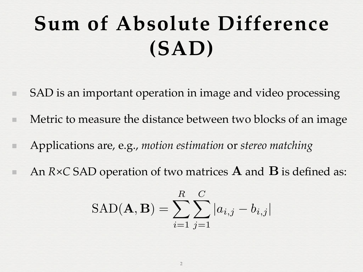# **Sum of Absolute Difference (SAD)**

- SAD is an important operation in image and video processing
- Metric to measure the distance between two blocks of an image
- Applications are, e.g., *motion estimation* or *stereo matching*
- An *R*×*C* SAD operation of two matrices **A** and **B** is defined as:

$$
SAD(\mathbf{A}, \mathbf{B}) = \sum_{i=1}^{R} \sum_{j=1}^{C} |a_{i,j} - b_{i,j}|
$$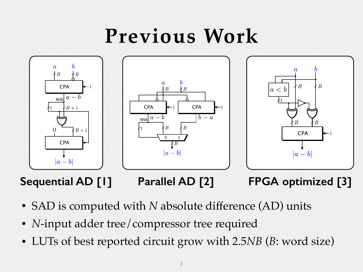### **Previous Work**



**Sequential AD [1]**

**Parallel AD [2]**

**FPGA optimized [3]**

- SAD is computed with *N* absolute difference (AD) units
- *N*-input adder tree/compressor tree required
- LUTs of best reported circuit grow with 2.5*NB* (*B*: word size)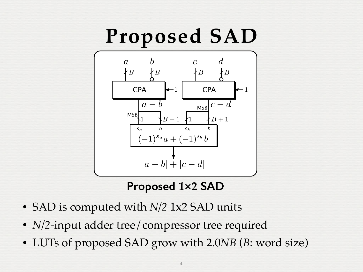## **Proposed SAD**



### **Proposed 1×2 SAD**

- SAD is computed with *N/2* 1x2 SAD units
- *N/2*-input adder tree/compressor tree required
- LUTs of proposed SAD grow with 2.0*NB* (*B*: word size)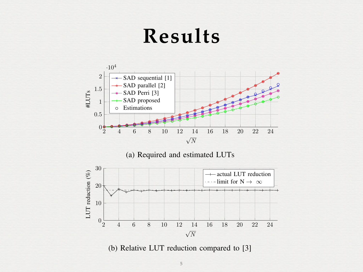### **Results**







(b) Relative LUT reduction compared to [3]